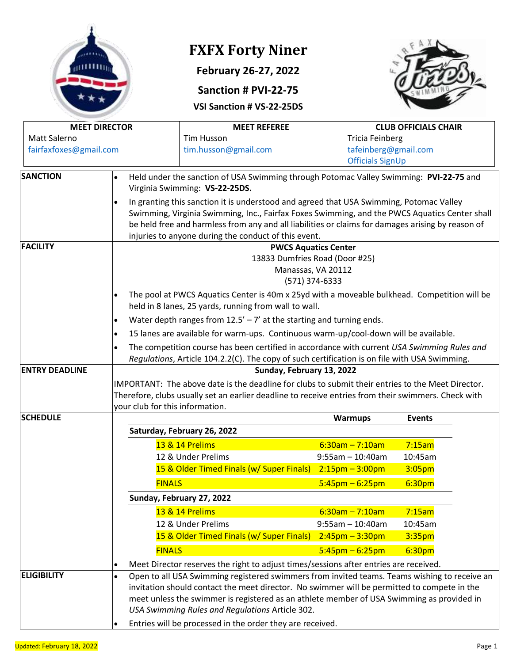

# **FXFX Forty Niner**

**February 26-27, 2022**

## **Sanction # PVI-22-75**

**VSI Sanction # VS-22-25DS**



| <b>MEET DIRECTOR</b>   |                                                                                                       | <b>MEET REFEREE</b>                                                                                                                                                                                                                                                                                                                                   |                         | <b>CLUB OFFICIALS CHAIR</b> |  |  |
|------------------------|-------------------------------------------------------------------------------------------------------|-------------------------------------------------------------------------------------------------------------------------------------------------------------------------------------------------------------------------------------------------------------------------------------------------------------------------------------------------------|-------------------------|-----------------------------|--|--|
| Matt Salerno           |                                                                                                       | <b>Tim Husson</b>                                                                                                                                                                                                                                                                                                                                     | <b>Tricia Feinberg</b>  |                             |  |  |
| fairfaxfoxes@gmail.com |                                                                                                       | tim.husson@gmail.com                                                                                                                                                                                                                                                                                                                                  | tafeinberg@gmail.com    |                             |  |  |
|                        |                                                                                                       |                                                                                                                                                                                                                                                                                                                                                       | <b>Officials SignUp</b> |                             |  |  |
| <b>SANCTION</b>        | $\bullet$                                                                                             | Held under the sanction of USA Swimming through Potomac Valley Swimming: PVI-22-75 and<br>Virginia Swimming: VS-22-25DS.                                                                                                                                                                                                                              |                         |                             |  |  |
|                        |                                                                                                       | In granting this sanction it is understood and agreed that USA Swimming, Potomac Valley<br>Swimming, Virginia Swimming, Inc., Fairfax Foxes Swimming, and the PWCS Aquatics Center shall<br>be held free and harmless from any and all liabilities or claims for damages arising by reason of<br>injuries to anyone during the conduct of this event. |                         |                             |  |  |
| <b>FACILITY</b>        | <b>PWCS Aquatics Center</b><br>13833 Dumfries Road (Door #25)<br>Manassas, VA 20112<br>(571) 374-6333 |                                                                                                                                                                                                                                                                                                                                                       |                         |                             |  |  |
|                        |                                                                                                       | The pool at PWCS Aquatics Center is 40m x 25yd with a moveable bulkhead. Competition will be<br>held in 8 lanes, 25 yards, running from wall to wall.                                                                                                                                                                                                 |                         |                             |  |  |
|                        |                                                                                                       | Water depth ranges from $12.5' - 7'$ at the starting and turning ends.                                                                                                                                                                                                                                                                                |                         |                             |  |  |
|                        |                                                                                                       | 15 lanes are available for warm-ups. Continuous warm-up/cool-down will be available.                                                                                                                                                                                                                                                                  |                         |                             |  |  |
|                        |                                                                                                       | The competition course has been certified in accordance with current USA Swimming Rules and<br>Regulations, Article 104.2.2(C). The copy of such certification is on file with USA Swimming.                                                                                                                                                          |                         |                             |  |  |
| <b>ENTRY DEADLINE</b>  |                                                                                                       | Sunday, February 13, 2022                                                                                                                                                                                                                                                                                                                             |                         |                             |  |  |
|                        |                                                                                                       | IMPORTANT: The above date is the deadline for clubs to submit their entries to the Meet Director.                                                                                                                                                                                                                                                     |                         |                             |  |  |
|                        |                                                                                                       | Therefore, clubs usually set an earlier deadline to receive entries from their swimmers. Check with                                                                                                                                                                                                                                                   |                         |                             |  |  |
|                        | your club for this information.                                                                       |                                                                                                                                                                                                                                                                                                                                                       |                         |                             |  |  |
| <b>SCHEDULE</b>        |                                                                                                       |                                                                                                                                                                                                                                                                                                                                                       | <b>Warmups</b>          | <b>Events</b>               |  |  |
|                        |                                                                                                       | Saturday, February 26, 2022                                                                                                                                                                                                                                                                                                                           |                         |                             |  |  |
|                        |                                                                                                       | 13 & 14 Prelims                                                                                                                                                                                                                                                                                                                                       | $6:30$ am - 7:10am      | 7:15am                      |  |  |
|                        |                                                                                                       | 12 & Under Prelims                                                                                                                                                                                                                                                                                                                                    | $9:55am - 10:40am$      | 10:45am                     |  |  |
|                        |                                                                                                       | 15 & Older Timed Finals (w/ Super Finals) 2:15pm - 3:00pm                                                                                                                                                                                                                                                                                             |                         | 3:05pm                      |  |  |
|                        | <b>FINALS</b>                                                                                         |                                                                                                                                                                                                                                                                                                                                                       | $5:45$ pm – 6:25pm      | 6:30pm                      |  |  |
|                        |                                                                                                       | Sunday, February 27, 2022                                                                                                                                                                                                                                                                                                                             |                         |                             |  |  |
|                        |                                                                                                       | 13 & 14 Prelims                                                                                                                                                                                                                                                                                                                                       | $6:30$ am - 7:10am      | 7:15am                      |  |  |
|                        |                                                                                                       | 12 & Under Prelims                                                                                                                                                                                                                                                                                                                                    | $9:55am - 10:40am$      | 10:45am                     |  |  |
|                        |                                                                                                       | 15 & Older Timed Finals (w/ Super Finals) 2:45pm - 3:30pm                                                                                                                                                                                                                                                                                             |                         | 3:35pm                      |  |  |
|                        | <b>FINALS</b>                                                                                         |                                                                                                                                                                                                                                                                                                                                                       | $5:45$ pm – 6:25pm      | 6:30pm                      |  |  |
|                        | ٠                                                                                                     | Meet Director reserves the right to adjust times/sessions after entries are received.                                                                                                                                                                                                                                                                 |                         |                             |  |  |
| <b>ELIGIBILITY</b>     | $\bullet$                                                                                             | Open to all USA Swimming registered swimmers from invited teams. Teams wishing to receive an<br>invitation should contact the meet director. No swimmer will be permitted to compete in the<br>meet unless the swimmer is registered as an athlete member of USA Swimming as provided in<br>USA Swimming Rules and Regulations Article 302.           |                         |                             |  |  |
|                        |                                                                                                       | Entries will be processed in the order they are received.                                                                                                                                                                                                                                                                                             |                         |                             |  |  |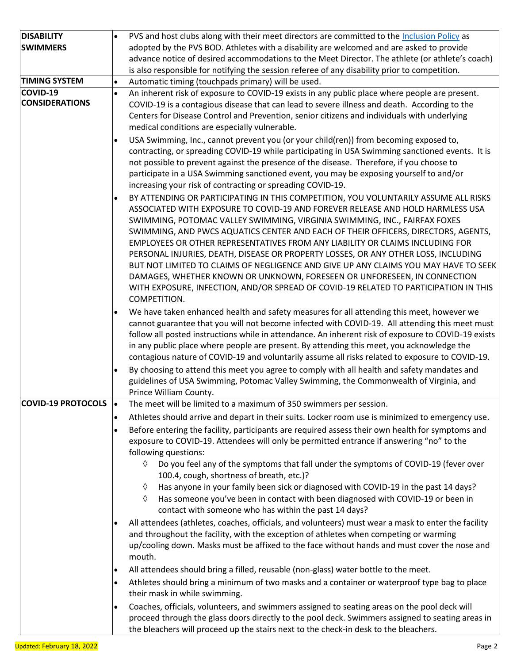| <b>DISABILITY</b>     |           | PVS and host clubs along with their meet directors are committed to the Inclusion Policy as         |
|-----------------------|-----------|-----------------------------------------------------------------------------------------------------|
| <b>SWIMMERS</b>       |           | adopted by the PVS BOD. Athletes with a disability are welcomed and are asked to provide            |
|                       |           | advance notice of desired accommodations to the Meet Director. The athlete (or athlete's coach)     |
|                       |           | is also responsible for notifying the session referee of any disability prior to competition.       |
| <b>TIMING SYSTEM</b>  | $\bullet$ | Automatic timing (touchpads primary) will be used.                                                  |
| COVID-19              | $\bullet$ | An inherent risk of exposure to COVID-19 exists in any public place where people are present.       |
| <b>CONSIDERATIONS</b> |           | COVID-19 is a contagious disease that can lead to severe illness and death. According to the        |
|                       |           | Centers for Disease Control and Prevention, senior citizens and individuals with underlying         |
|                       |           | medical conditions are especially vulnerable.                                                       |
|                       |           | USA Swimming, Inc., cannot prevent you (or your child(ren)) from becoming exposed to,               |
|                       |           | contracting, or spreading COVID-19 while participating in USA Swimming sanctioned events. It is     |
|                       |           | not possible to prevent against the presence of the disease. Therefore, if you choose to            |
|                       |           | participate in a USA Swimming sanctioned event, you may be exposing yourself to and/or              |
|                       |           | increasing your risk of contracting or spreading COVID-19.                                          |
|                       | $\bullet$ | BY ATTENDING OR PARTICIPATING IN THIS COMPETITION, YOU VOLUNTARILY ASSUME ALL RISKS                 |
|                       |           | ASSOCIATED WITH EXPOSURE TO COVID-19 AND FOREVER RELEASE AND HOLD HARMLESS USA                      |
|                       |           | SWIMMING, POTOMAC VALLEY SWIMMING, VIRGINIA SWIMMING, INC., FAIRFAX FOXES                           |
|                       |           | SWIMMING, AND PWCS AQUATICS CENTER AND EACH OF THEIR OFFICERS, DIRECTORS, AGENTS,                   |
|                       |           | EMPLOYEES OR OTHER REPRESENTATIVES FROM ANY LIABILITY OR CLAIMS INCLUDING FOR                       |
|                       |           | PERSONAL INJURIES, DEATH, DISEASE OR PROPERTY LOSSES, OR ANY OTHER LOSS, INCLUDING                  |
|                       |           | BUT NOT LIMITED TO CLAIMS OF NEGLIGENCE AND GIVE UP ANY CLAIMS YOU MAY HAVE TO SEEK                 |
|                       |           | DAMAGES, WHETHER KNOWN OR UNKNOWN, FORESEEN OR UNFORESEEN, IN CONNECTION                            |
|                       |           | WITH EXPOSURE, INFECTION, AND/OR SPREAD OF COVID-19 RELATED TO PARTICIPATION IN THIS                |
|                       |           | COMPETITION.                                                                                        |
|                       |           | We have taken enhanced health and safety measures for all attending this meet, however we           |
|                       |           | cannot guarantee that you will not become infected with COVID-19. All attending this meet must      |
|                       |           | follow all posted instructions while in attendance. An inherent risk of exposure to COVID-19 exists |
|                       |           | in any public place where people are present. By attending this meet, you acknowledge the           |
|                       |           | contagious nature of COVID-19 and voluntarily assume all risks related to exposure to COVID-19.     |
|                       |           | By choosing to attend this meet you agree to comply with all health and safety mandates and         |
|                       |           | guidelines of USA Swimming, Potomac Valley Swimming, the Commonwealth of Virginia, and              |
|                       |           | Prince William County.                                                                              |
| COVID-19 PROTOCOLS    |           | The meet will be limited to a maximum of 350 swimmers per session.                                  |
|                       | $\bullet$ | Athletes should arrive and depart in their suits. Locker room use is minimized to emergency use.    |
|                       | $\bullet$ | Before entering the facility, participants are required assess their own health for symptoms and    |
|                       |           | exposure to COVID-19. Attendees will only be permitted entrance if answering "no" to the            |
|                       |           | following questions:                                                                                |
|                       |           | Do you feel any of the symptoms that fall under the symptoms of COVID-19 (fever over<br>♦           |
|                       |           | 100.4, cough, shortness of breath, etc.)?                                                           |
|                       |           | Has anyone in your family been sick or diagnosed with COVID-19 in the past 14 days?<br>♦            |
|                       |           | Has someone you've been in contact with been diagnosed with COVID-19 or been in<br>♦                |
|                       |           | contact with someone who has within the past 14 days?                                               |
|                       |           | All attendees (athletes, coaches, officials, and volunteers) must wear a mask to enter the facility |
|                       |           | and throughout the facility, with the exception of athletes when competing or warming               |
|                       |           | up/cooling down. Masks must be affixed to the face without hands and must cover the nose and        |
|                       |           | mouth.                                                                                              |
|                       | $\bullet$ | All attendees should bring a filled, reusable (non-glass) water bottle to the meet.                 |
|                       | $\bullet$ | Athletes should bring a minimum of two masks and a container or waterproof type bag to place        |
|                       |           | their mask in while swimming.                                                                       |
|                       | $\bullet$ | Coaches, officials, volunteers, and swimmers assigned to seating areas on the pool deck will        |
|                       |           | proceed through the glass doors directly to the pool deck. Swimmers assigned to seating areas in    |
|                       |           | the bleachers will proceed up the stairs next to the check-in desk to the bleachers.                |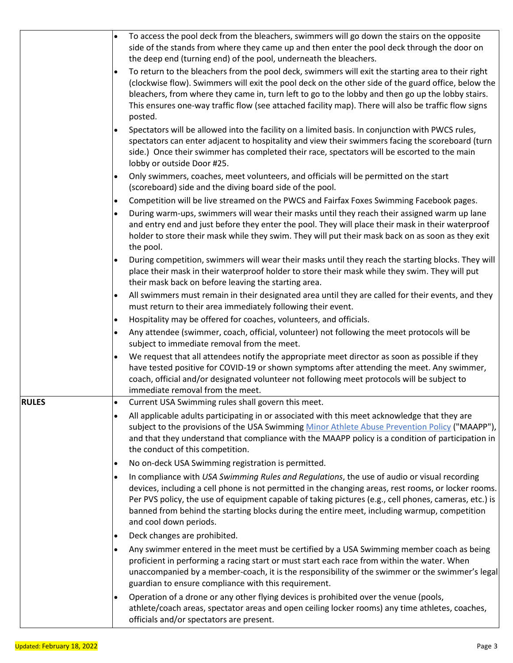|              | To access the pool deck from the bleachers, swimmers will go down the stairs on the opposite<br>side of the stands from where they came up and then enter the pool deck through the door on<br>the deep end (turning end) of the pool, underneath the bleachers.                                                                                                                                                                       |
|--------------|----------------------------------------------------------------------------------------------------------------------------------------------------------------------------------------------------------------------------------------------------------------------------------------------------------------------------------------------------------------------------------------------------------------------------------------|
|              | To return to the bleachers from the pool deck, swimmers will exit the starting area to their right<br>(clockwise flow). Swimmers will exit the pool deck on the other side of the guard office, below the<br>bleachers, from where they came in, turn left to go to the lobby and then go up the lobby stairs.<br>This ensures one-way traffic flow (see attached facility map). There will also be traffic flow signs<br>posted.      |
|              | Spectators will be allowed into the facility on a limited basis. In conjunction with PWCS rules,<br>spectators can enter adjacent to hospitality and view their swimmers facing the scoreboard (turn<br>side.) Once their swimmer has completed their race, spectators will be escorted to the main<br>lobby or outside Door #25.                                                                                                      |
|              | Only swimmers, coaches, meet volunteers, and officials will be permitted on the start<br>(scoreboard) side and the diving board side of the pool.                                                                                                                                                                                                                                                                                      |
|              | Competition will be live streamed on the PWCS and Fairfax Foxes Swimming Facebook pages.<br>$\bullet$                                                                                                                                                                                                                                                                                                                                  |
|              | During warm-ups, swimmers will wear their masks until they reach their assigned warm up lane<br>and entry end and just before they enter the pool. They will place their mask in their waterproof<br>holder to store their mask while they swim. They will put their mask back on as soon as they exit<br>the pool.                                                                                                                    |
|              | During competition, swimmers will wear their masks until they reach the starting blocks. They will<br>place their mask in their waterproof holder to store their mask while they swim. They will put<br>their mask back on before leaving the starting area.                                                                                                                                                                           |
|              | All swimmers must remain in their designated area until they are called for their events, and they<br>٠<br>must return to their area immediately following their event.                                                                                                                                                                                                                                                                |
|              | Hospitality may be offered for coaches, volunteers, and officials.                                                                                                                                                                                                                                                                                                                                                                     |
|              | Any attendee (swimmer, coach, official, volunteer) not following the meet protocols will be<br>subject to immediate removal from the meet.                                                                                                                                                                                                                                                                                             |
|              | We request that all attendees notify the appropriate meet director as soon as possible if they<br>have tested positive for COVID-19 or shown symptoms after attending the meet. Any swimmer,<br>coach, official and/or designated volunteer not following meet protocols will be subject to<br>immediate removal from the meet.                                                                                                        |
| <b>RULES</b> | Current USA Swimming rules shall govern this meet.<br>٠                                                                                                                                                                                                                                                                                                                                                                                |
|              | All applicable adults participating in or associated with this meet acknowledge that they are<br>subject to the provisions of the USA Swimming Minor Athlete Abuse Prevention Policy ("MAAPP"),<br>and that they understand that compliance with the MAAPP policy is a condition of participation in<br>the conduct of this competition.                                                                                               |
|              | No on-deck USA Swimming registration is permitted.                                                                                                                                                                                                                                                                                                                                                                                     |
|              | In compliance with USA Swimming Rules and Regulations, the use of audio or visual recording<br>devices, including a cell phone is not permitted in the changing areas, rest rooms, or locker rooms.<br>Per PVS policy, the use of equipment capable of taking pictures (e.g., cell phones, cameras, etc.) is<br>banned from behind the starting blocks during the entire meet, including warmup, competition<br>and cool down periods. |
|              | Deck changes are prohibited.                                                                                                                                                                                                                                                                                                                                                                                                           |
|              | Any swimmer entered in the meet must be certified by a USA Swimming member coach as being<br>proficient in performing a racing start or must start each race from within the water. When<br>unaccompanied by a member-coach, it is the responsibility of the swimmer or the swimmer's legal<br>guardian to ensure compliance with this requirement.                                                                                    |
|              | Operation of a drone or any other flying devices is prohibited over the venue (pools,<br>athlete/coach areas, spectator areas and open ceiling locker rooms) any time athletes, coaches,<br>officials and/or spectators are present.                                                                                                                                                                                                   |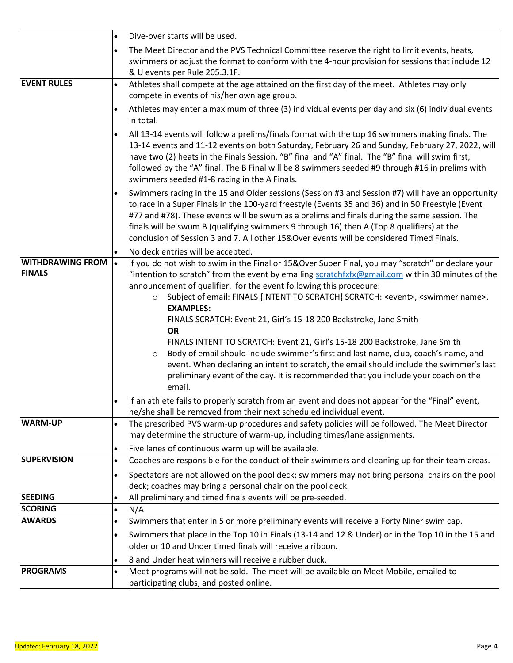|                                          | $\bullet$              | Dive-over starts will be used.                                                                                                                                                                                                                                                                                                                                                                                                                                                                  |
|------------------------------------------|------------------------|-------------------------------------------------------------------------------------------------------------------------------------------------------------------------------------------------------------------------------------------------------------------------------------------------------------------------------------------------------------------------------------------------------------------------------------------------------------------------------------------------|
|                                          |                        | The Meet Director and the PVS Technical Committee reserve the right to limit events, heats,<br>swimmers or adjust the format to conform with the 4-hour provision for sessions that include 12<br>& U events per Rule 205.3.1F.                                                                                                                                                                                                                                                                 |
| <b>EVENT RULES</b>                       |                        | Athletes shall compete at the age attained on the first day of the meet. Athletes may only<br>compete in events of his/her own age group.                                                                                                                                                                                                                                                                                                                                                       |
|                                          |                        | Athletes may enter a maximum of three (3) individual events per day and six (6) individual events<br>in total.                                                                                                                                                                                                                                                                                                                                                                                  |
|                                          |                        | All 13-14 events will follow a prelims/finals format with the top 16 swimmers making finals. The<br>13-14 events and 11-12 events on both Saturday, February 26 and Sunday, February 27, 2022, will<br>have two (2) heats in the Finals Session, "B" final and "A" final. The "B" final will swim first,<br>followed by the "A" final. The B Final will be 8 swimmers seeded #9 through #16 in prelims with<br>swimmers seeded #1-8 racing in the A Finals.                                     |
|                                          |                        | Swimmers racing in the 15 and Older sessions (Session #3 and Session #7) will have an opportunity<br>to race in a Super Finals in the 100-yard freestyle (Events 35 and 36) and in 50 Freestyle (Event<br>#77 and #78). These events will be swum as a prelims and finals during the same session. The<br>finals will be swum B (qualifying swimmers 9 through 16) then A (Top 8 qualifiers) at the<br>conclusion of Session 3 and 7. All other 15&Over events will be considered Timed Finals. |
|                                          |                        | No deck entries will be accepted.                                                                                                                                                                                                                                                                                                                                                                                                                                                               |
| <b>WITHDRAWING FROM</b><br><b>FINALS</b> | <b>le</b>              | If you do not wish to swim in the Final or 15&Over Super Final, you may "scratch" or declare your<br>"intention to scratch" from the event by emailing scratchfxfx@gmail.com within 30 minutes of the<br>announcement of qualifier. for the event following this procedure:<br>Subject of email: FINALS {INTENT TO SCRATCH} SCRATCH: <event>, <swimmer name="">.<br/><math>\circ</math><br/><b>EXAMPLES:</b></swimmer></event>                                                                  |
|                                          |                        | FINALS SCRATCH: Event 21, Girl's 15-18 200 Backstroke, Jane Smith<br><b>OR</b><br>FINALS INTENT TO SCRATCH: Event 21, Girl's 15-18 200 Backstroke, Jane Smith<br>Body of email should include swimmer's first and last name, club, coach's name, and<br>$\circ$<br>event. When declaring an intent to scratch, the email should include the swimmer's last<br>preliminary event of the day. It is recommended that you include your coach on the<br>email.                                      |
|                                          |                        | If an athlete fails to properly scratch from an event and does not appear for the "Final" event,<br>he/she shall be removed from their next scheduled individual event.                                                                                                                                                                                                                                                                                                                         |
| <b>WARM-UP</b>                           | $\bullet$<br>$\bullet$ | The prescribed PVS warm-up procedures and safety policies will be followed. The Meet Director<br>may determine the structure of warm-up, including times/lane assignments.<br>Five lanes of continuous warm up will be available.                                                                                                                                                                                                                                                               |
| <b>SUPERVISION</b>                       | $\bullet$              | Coaches are responsible for the conduct of their swimmers and cleaning up for their team areas.                                                                                                                                                                                                                                                                                                                                                                                                 |
|                                          |                        | Spectators are not allowed on the pool deck; swimmers may not bring personal chairs on the pool<br>deck; coaches may bring a personal chair on the pool deck.                                                                                                                                                                                                                                                                                                                                   |
| <b>SEEDING</b>                           | $\bullet$              | All preliminary and timed finals events will be pre-seeded.                                                                                                                                                                                                                                                                                                                                                                                                                                     |
| <b>SCORING</b>                           | $\bullet$              | N/A                                                                                                                                                                                                                                                                                                                                                                                                                                                                                             |
| <b>AWARDS</b>                            | $\bullet$              | Swimmers that enter in 5 or more preliminary events will receive a Forty Niner swim cap.                                                                                                                                                                                                                                                                                                                                                                                                        |
|                                          |                        | Swimmers that place in the Top 10 in Finals (13-14 and 12 & Under) or in the Top 10 in the 15 and<br>older or 10 and Under timed finals will receive a ribbon.                                                                                                                                                                                                                                                                                                                                  |
|                                          |                        | 8 and Under heat winners will receive a rubber duck.                                                                                                                                                                                                                                                                                                                                                                                                                                            |
| <b>PROGRAMS</b>                          | $\bullet$              | Meet programs will not be sold. The meet will be available on Meet Mobile, emailed to<br>participating clubs, and posted online.                                                                                                                                                                                                                                                                                                                                                                |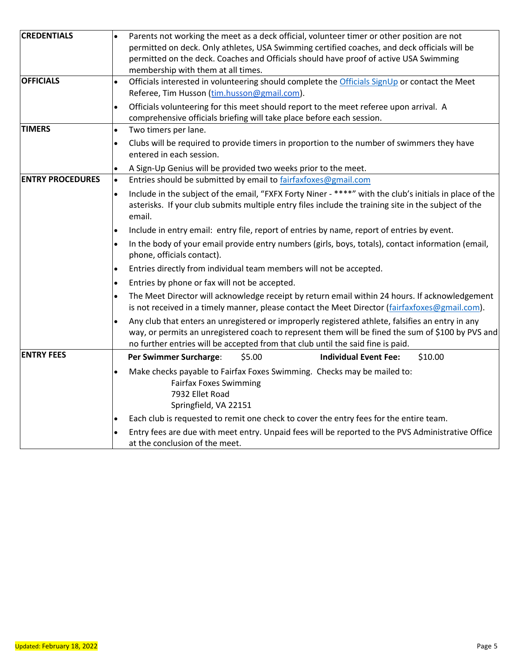| <b>CREDENTIALS</b>      | Parents not working the meet as a deck official, volunteer timer or other position are not<br>permitted on deck. Only athletes, USA Swimming certified coaches, and deck officials will be<br>permitted on the deck. Coaches and Officials should have proof of active USA Swimming<br>membership with them at all times. |
|-------------------------|---------------------------------------------------------------------------------------------------------------------------------------------------------------------------------------------------------------------------------------------------------------------------------------------------------------------------|
| <b>OFFICIALS</b>        | Officials interested in volunteering should complete the Officials SignUp or contact the Meet<br>$\bullet$<br>Referee, Tim Husson (tim.husson@gmail.com).                                                                                                                                                                 |
|                         | Officials volunteering for this meet should report to the meet referee upon arrival. A<br>$\bullet$<br>comprehensive officials briefing will take place before each session.                                                                                                                                              |
| <b>TIMERS</b>           | Two timers per lane.<br>$\bullet$                                                                                                                                                                                                                                                                                         |
|                         | Clubs will be required to provide timers in proportion to the number of swimmers they have<br>$\bullet$<br>entered in each session.                                                                                                                                                                                       |
|                         | A Sign-Up Genius will be provided two weeks prior to the meet.                                                                                                                                                                                                                                                            |
| <b>ENTRY PROCEDURES</b> | Entries should be submitted by email to fairfaxfoxes@gmail.com<br>$\bullet$                                                                                                                                                                                                                                               |
|                         | Include in the subject of the email, "FXFX Forty Niner - ****" with the club's initials in place of the<br>$\bullet$<br>asterisks. If your club submits multiple entry files include the training site in the subject of the<br>email.                                                                                    |
|                         | Include in entry email: entry file, report of entries by name, report of entries by event.                                                                                                                                                                                                                                |
|                         | In the body of your email provide entry numbers (girls, boys, totals), contact information (email,<br>$\bullet$<br>phone, officials contact).                                                                                                                                                                             |
|                         | Entries directly from individual team members will not be accepted.<br>$\bullet$                                                                                                                                                                                                                                          |
|                         | Entries by phone or fax will not be accepted.<br>$\bullet$                                                                                                                                                                                                                                                                |
|                         | The Meet Director will acknowledge receipt by return email within 24 hours. If acknowledgement<br>$\bullet$<br>is not received in a timely manner, please contact the Meet Director (fairfaxfoxes@gmail.com).                                                                                                             |
|                         | Any club that enters an unregistered or improperly registered athlete, falsifies an entry in any<br>way, or permits an unregistered coach to represent them will be fined the sum of \$100 by PVS and<br>no further entries will be accepted from that club until the said fine is paid.                                  |
| <b>ENTRY FEES</b>       | \$5.00<br><b>Individual Event Fee:</b><br>\$10.00<br>Per Swimmer Surcharge:                                                                                                                                                                                                                                               |
|                         | Make checks payable to Fairfax Foxes Swimming. Checks may be mailed to:<br><b>Fairfax Foxes Swimming</b><br>7932 Ellet Road<br>Springfield, VA 22151                                                                                                                                                                      |
|                         | Each club is requested to remit one check to cover the entry fees for the entire team.<br>$\bullet$                                                                                                                                                                                                                       |
|                         | Entry fees are due with meet entry. Unpaid fees will be reported to the PVS Administrative Office<br>at the conclusion of the meet.                                                                                                                                                                                       |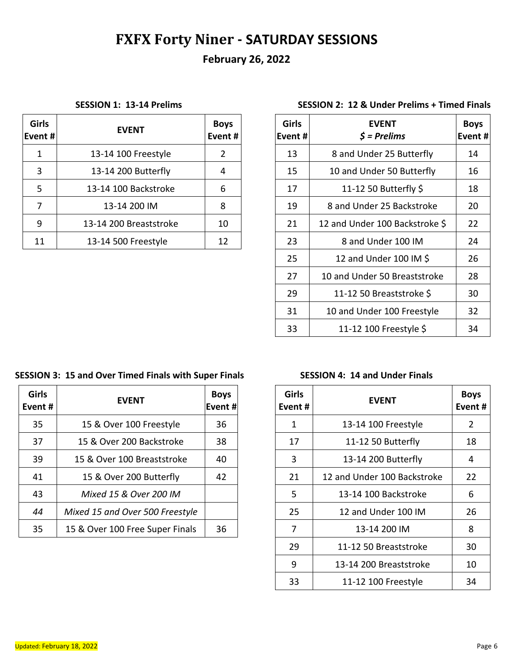# **FXFX Forty Niner - SATURDAY SESSIONS**

## **February 26, 2022**

| Girls<br>Event # | <b>EVENT</b>           | <b>Boys</b><br>Event # | <b>Girls</b><br>Event # | <b>EVENT</b><br>$\mathfrak{S}$ = Prelims | Boy<br>Even |
|------------------|------------------------|------------------------|-------------------------|------------------------------------------|-------------|
|                  | 13-14 100 Freestyle    | 2                      | 13                      | 8 and Under 25 Butterfly                 | 14          |
| 3                | 13-14 200 Butterfly    | 4                      | 15                      | 10 and Under 50 Butterfly                | 16          |
| 5                | 13-14 100 Backstroke   | 6                      | 17                      | 11-12 50 Butterfly \$                    | 18          |
|                  | 13-14 200 IM           | 8                      | 19                      | 8 and Under 25 Backstroke                | 20          |
| 9                | 13-14 200 Breaststroke | 10                     | 21                      | 12 and Under 100 Backstroke \$           | 22          |
| 11               | 13-14 500 Freestyle    | 12                     | 23                      | 8 and Under 100 IM                       | 24          |

### **SESSION 1: 13-14 Prelims SESSION 2: 12 & Under Prelims + Timed Finals**

| Girls<br>Event# | <b>EVENT</b><br>$\mathsf{S}$ = Prelims | <b>Boys</b><br>Event# |
|-----------------|----------------------------------------|-----------------------|
| 13              | 8 and Under 25 Butterfly               | 14                    |
| 15              | 10 and Under 50 Butterfly              | 16                    |
| 17              | 11-12 50 Butterfly $\frac{1}{2}$       | 18                    |
| 19              | 8 and Under 25 Backstroke              | 20                    |
| 21              | 12 and Under 100 Backstroke \$         | 22                    |
| 23              | 8 and Under 100 IM                     | 24                    |
| 25              | 12 and Under 100 IM \$                 | 26                    |
| 27              | 10 and Under 50 Breaststroke           | 28                    |
| 29              | 11-12 50 Breaststroke \$               | 30                    |
| 31              | 10 and Under 100 Freestyle             | 32                    |
| 33              | 11-12 100 Freestyle \$                 | 34                    |

### **SESSION 3: 15 and Over Timed Finals with Super Finals SESSION 4: 14 and Under Finals**

| <b>Girls</b><br>Event # | <b>EVENT</b>                    | <b>Boys</b><br>Event # | <b>Girls</b><br>Event # | <b>EVENT</b>                | Boy<br>Even |
|-------------------------|---------------------------------|------------------------|-------------------------|-----------------------------|-------------|
| 35                      | 15 & Over 100 Freestyle         | 36                     |                         | 13-14 100 Freestyle         | 2           |
| 37                      | 15 & Over 200 Backstroke        | 38                     | 17                      | 11-12 50 Butterfly          | 18          |
| 39                      | 15 & Over 100 Breaststroke      | 40                     | 3                       | 13-14 200 Butterfly         | 4           |
| 41                      | 15 & Over 200 Butterfly         | 42                     | 21                      | 12 and Under 100 Backstroke | 22          |
| 43                      | Mixed 15 & Over 200 IM          |                        | 5                       | 13-14 100 Backstroke        | 6           |
| 44                      | Mixed 15 and Over 500 Freestyle |                        | 25                      | 12 and Under 100 IM         | 26          |
| 35                      | 15 & Over 100 Free Super Finals | 36                     |                         | 13-14 200 IM                | 8           |

| Girls<br>Event # | <b>EVENT</b>                | <b>Boys</b><br>Event# |
|------------------|-----------------------------|-----------------------|
| 1                | 13-14 100 Freestyle         | 2                     |
| 17               | 11-12 50 Butterfly          | 18                    |
| 3                | 13-14 200 Butterfly         | 4                     |
| 21               | 12 and Under 100 Backstroke | 22                    |
| 5                | 13-14 100 Backstroke        | 6                     |
| 25               | 12 and Under 100 IM         | 26                    |
| 7                | 13-14 200 IM                | 8                     |
| 29               | 11-12 50 Breaststroke       | 30                    |
| 9                | 13-14 200 Breaststroke      | 10                    |
| 33               | 11-12 100 Freestyle         | 34                    |